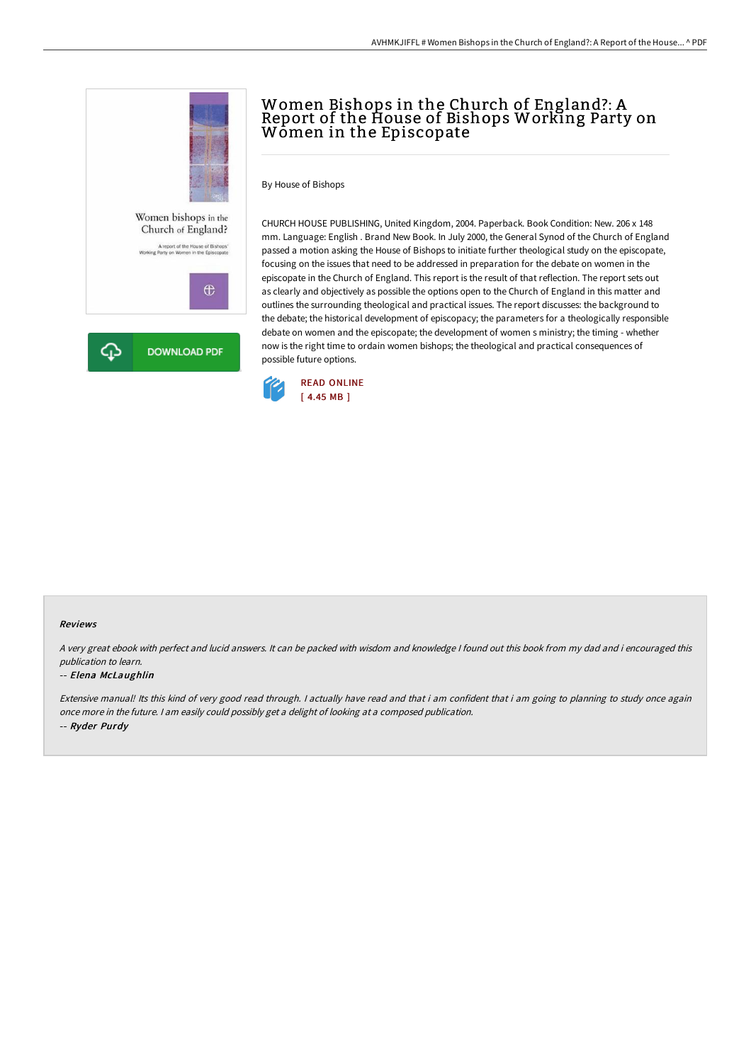

# Women Bishops in the Church of England?: A Report of the House of Bishops Working Party on Women in the Episcopate

By House of Bishops

CHURCH HOUSE PUBLISHING, United Kingdom, 2004. Paperback. Book Condition: New. 206 x 148 mm. Language: English . Brand New Book. In July 2000, the General Synod of the Church of England passed a motion asking the House of Bishops to initiate further theological study on the episcopate, focusing on the issues that need to be addressed in preparation for the debate on women in the episcopate in the Church of England. This report is the result of that reflection. The report sets out as clearly and objectively as possible the options open to the Church of England in this matter and outlines the surrounding theological and practical issues. The report discusses: the background to the debate; the historical development of episcopacy; the parameters for a theologically responsible debate on women and the episcopate; the development of women s ministry; the timing - whether now is the right time to ordain women bishops; the theological and practical consequences of possible future options.



#### Reviews

<sup>A</sup> very great ebook with perfect and lucid answers. It can be packed with wisdom and knowledge <sup>I</sup> found out this book from my dad and i encouraged this publication to learn.

### -- Elena McLaughlin

Extensive manual! Its this kind of very good read through. I actually have read and that i am confident that i am going to planning to study once again once more in the future. <sup>I</sup> am easily could possibly get <sup>a</sup> delight of looking at <sup>a</sup> composed publication. -- Ryder Purdy